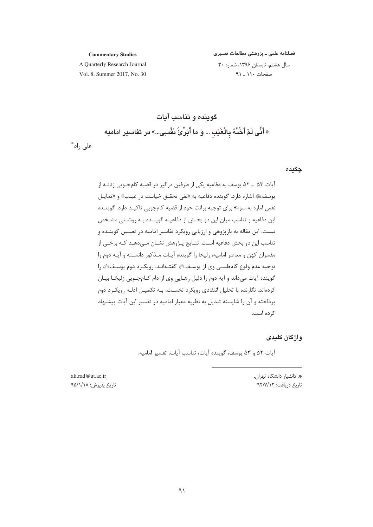فصلنامه علمی ـ پژوهشی مطالعات تفسیری

**Commentary Studies** 

A Quarterly Research Journal

سال هشتم، تابستان ۱۳۹۶، شماره ۳۰ صفحات ١١٠ \_ ٩١

Vol. 8, Summer 2017, No. 30

چکیدہ

واژگان کلیدی

آيات ۵۲ و ۵۳ يوسف، گوينده آيات، تناسب آيات، تفسير اماميه.

\*. دانشیار دانشگاه تهران. تاریخ دریافت: ۹۴/۷/۱۲

ali.rad@ut.ac.ir تاريخ پذيرش: ٩۵/١/١٨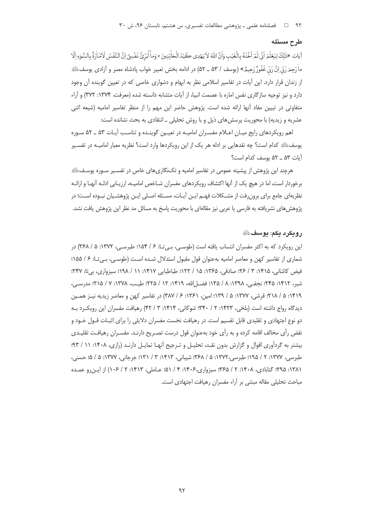۹۲ = فصلنامه علمی ـ پژوهشی مطالعات تفسیری، س هشتم، تابستان ۹۶، ش ۳۰

#### طرح مسئله

آيات «ذٰلِكَ لِيَعْلَمَ اَنِّ لَمْ اَخُنْهُ بِالْعَيْبِ وَاَنَّ اللّٰهَ لاٰ يَهْدِي كَيْدَ الْخاْفِنِينَ \* وَماْ أَبَرّئُ نَفْسِيّ اِنَّ النَّفْسَ لَاَمّارَةً بِالسُّوَءِ اِلَّا ماٰ رَحِمَ رَبِّي اِنَّ رَبِّي غَفُورٌ رَجِيمٌ» (يوسف / ۵۳ ــ ۵۲) در ادامه بخش تعبير خواب پادشاه مصر و آزادى يوسفﷺ از زندان قرار دارد. این آیات در تفاسیر اسلامی نظر به ابهام و دشواری خاصی که در تعیین گوینده آن وجود دارد و نیز توجیه سازگاری نفس اماره با عصمت انبیا، از آیات متشابه دانسته شده (معرفت، ۱۳۷۴: ۳۷۲) و آراء متفاوتی در تبیین مفاد آنها ارائه شده است. پژوهش حاضر این مهم را از منظر تفاسیر امامیه (شیعه اثنی عشریه و زیدیه) با محوریت پرسشهای ذیل و با روش تحلیلی ـ انتقادی به بحث نشانده است:

اهم رویکردهای رایج میان اعلام مفسران امامیه در تعیین گوینده و تناسب آیات ۵۳ ـ ۵۲ سوره يوسفﷺ كدام است؟ چه نقدهايي بر ادله هر يک از اين رويکردها وارد است؟ نظريه معيار اماميـه در تفسـير آیات ۵۳ \_ ۵۲ یوسف کدام است؟

هرچند این پژوهش از پیشینه عمومی در تفاسیر امامیه و تکنگاریهای خاص در تفسـیر سـوره پوسـفﷺ برخوردار است، اما در هیچ یک از آنها اکتشاف رویکردهای مفسران شـاخص امامیـه، ارزیـابی ادلـه آنهـا و ارائـه نظریهای جامع برای برون رفت از مشـکلات فهـم ایـن آیـات، مسـئله اصـلی ایـن پژوهشـیان نبـوده اسـت؛ در پژوهش های نشریافته به فارسی یا عربی نیز مقالهای با محوریت پاسخ به مسائل مد نظر این پژوهش یافت نشد.

# رويكرد بكم: يوسفﷺ

این رویکرد که به اکثر مفسران انتساب یافته است (طوسے، بے تـا: ۶ / ۱۵۴؛ طبرسے، ۱۳۷۲: ۵ / ۳۶۸) در شماری از تفاسیر کهن و معاصر امامیه بهعنوان قول مقبول استدلال شده است (طوسی، بیتا: ۶/ ۱۵۵؛ فیض کاشانی، ۱۴۱۵: ۳ / ۲۶؛ صادقی، ۱۳۶۵: ۱۵ / ۱۲۲؛ طباطبایی ۱۴۱۷: ۱۱ / ۱۹۸؛ سبزواری، بی تا: ۲۴۷؛ شبر، ١۴١٢: ٢۴۵؛ نجفـي، ١٣٩٨: ٨ / ١٣۵؛ فضـل|لله، ١۴١٩: ١٢ / ٢٢۵؛ طيـب، ١٣٧٨: ٧ / ٢١۵؛ مدرسـي، ١۴١٩: ۵ / ٢١٨؛ قرشي، ١٣٧٧: ۵ / ١٣٩؛ امين، ١٣۶١: ۶ / ٣٨٧) در تفاسير كهن و معاصر زيديه نيـز همـين دیدگاه رواج داشته است (بلخی، ۱۴۲۳: ۲ / ۳۴۰؛ شوکانی، ۱۴۱۴: ۳ / ۴۲) رهیافت مفسران این رویک رد بـه دو نوع اجتهادی و تقلیدی قابل تقسیم است. در رهیافت نخست مفسران دلایلی را برای اثبـات قـول خـود و نقض رأى مخالف اقامه كرده و به رأى خود بهعنوان قول درست تصـريح دارنـد. مفسـران رهيافـت تقليـدى بیشتر به گردآوری اقوال و گزارش بدون نقـد، تحلیـل و تـرجیح آنهـا تمایـل دارنـد (رازی، ۱۴۰۸: ۱۱ / ۹۳؛ طبرسي، ١٣٧٧: ٢ / ١٩۵؛ طبرسي،١٣٧٢: ۵ / ٣۶٨؛ شيباني، ١٣١٣: ٣ / ١٣١؛ جرجاني، ١٣٧٧: ۵ / ٤؛ حسني، ١٣٨١: ٢٩۵؛ گنابادي، ١۴٠٨: ٢ / ٣۶۵؛ سبزواري،١۴٠۶: ۴ / ۵١؛ عـاملي، ١۴١٣: ٢ / ١٠۶) از ايـن,رو عمـده مباحث تحلیلی مقاله مبتنی بر آراء مفسران رهیافت اجتهادی است.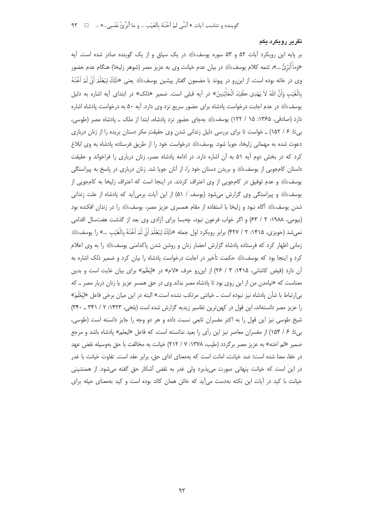### تقرير رويكرد يكم

بر پایه این رویکرد آیات ۵۲ و ۵۳ سوره یوسف ای در یک سیاق و از یک گوینده صادر شده است. آیه «وَماٰ اَبَرِّئُ …»، تتمه كلام يوسفﷺ در بيان عدم خيانت وى به عزيز مصر (شوهر زليخا) هنگام عدم حضور وى در خانه بوده است، از اين٫رو در پيوند با مضمون گفتار پيشين يوسفﷺ يعني «ذٰلِكَ لِيَعْلَمَ أَنَّى لَمْ أَخُنْهُ بِالْغَيْبِ وَأَنَّ اللَّهَ لاْ يَهْدِي كَيْدَ الْخاْئِنِينَ» در آيه قبلي است. ضمير «ذلك» در ابتداي آيه اشاره به دليل يوسفﷺ در عدم اجابت درخواست يادشاه براي حضور سريع نزد وي دارد. آيه ۵۰ به درخواست يادشاه اشاره دارد (صادقی، ۱۳۶۵: ۱۵ / ۱۲۲) یوسفﷺ بهجای حضور نزد پادشاه، ابتدا از ملک \_ پادشاه مصر (طوسی، بیتا: ۶/ ۱۵۲) ـ خواست تا برای بررسی دلیل زندانی شدن وی حقیقتِ مکر دستان بریده را از زنان درباری دعوت شده به مهمانی زلیخا، جویا شود. یوسفﷺ درخواست خود را از طریق فرستاده پادشاه به وی ابلاغ کرد که در بخش دوم آیه ۵۱ به آن اشاره دارد. در ادامه پادشاه مصر، زنان درباری را فراخواند و حقیقت داستان کامجویی از یوسفﷺ و بریدن دستان خود را، از آنان جویا شد. زنان درباری در پاسخ به پیراستگی یوسفﷺ و عدم توفیق در کامجویی از وی اعتراف کردند. در اینجا است که اعتراف زلیخا به کامجویی از یوسف اللهِ و پیراستگی وی گزارش میشود (یوسف / ۵۱) از این آیات برمیآید که پادشاه از علت زندانی شدن يوسفﷺ آگاه نبود و زليخا با استفاده از مقام همسري عزيز مصر، يوسفﷺ را در زندان افكنده بود (بیومی، ۱۹۸۸: ۲ / ۶۳) و اگر خواب فرعون نبود، چهبسا برای آزادی وی بعد از گذشت هفتسال اقدامی نمیشد (حویزی، ۱۴۱۵: ۲ / ۴۲۷) برابر رویکرد اول جمله «ذٰلِكَ لِيَعْلَمَ اَنَّى لَمْ اَخُنْهُ بالْغَيْب …» را يوسفﷺ زمانی اظهار کرد که فرستاده پادشاه گزارش احضار زنان و روشن شدن پاکدامنی یوسف ای دار به وی اعلام کرد و اینجا بود که پوسفﷺ حکمت تأخیر در اجابت درخواست پادشاه را بیان کرد و ضمیر ذلک اشاره به آن دارد (فیض کاشانی، ۱۴۱۵: ۳ / ۲۶) از این و حرف «لام» در «لِیَعْلَمَ» برای بیان غایت است و بدین معناست که «نیامدن من از این روی بود تا پادشاه مصر بداند وی در حق همسر عزیز یا زنان دربار مصر ــ که بی|رتباط با شأن پادشاه نیز نبوده است \_ خیانتی مرتکب نشده است.» البته در این میان برخی فاعل «لِیَعْلَمَ» را عزیز مصر دانستهاند، این قول در کهن ترین تفاسیر زیدیه گزارش شده است (بلخی، ۱۴۲۳: ۲ / ۳۴۱ \_ ۳۴۰) شیخ طوسی نیز این قول را به اکثر مفسران تابعی نسبت داده و هر دو وجه را جایز دانسته است (طوسی، بیتا: ۶/ ۱۵۴) از مفسران معاصر نیز این رأی را بعید ندانسته است، که فاعل «لیعلم» پادشاه باشد و مرجع ضمیر «لم اخنه» به عزیز مصر برگردد (طیب، ۱۳۷۸: ۷ / ۲۱۲) خیانت به مخالفت با حق بهوسیله نقض عهد در خفا، معنا شده است؛ ضد خیانت، امانت است که بهمعنای ادای حق، برابر عقد است. تفاوت خیانت با غدر در این است که خیانت پنهانی صورت میپذیرد ولی غدر به نقض آشکار حق گفته میشود. از همنشینی خیانت با کید در آیات این نکته بهدست می آید که خائن همان کائد بوده است و کید بهمعنای حیله برای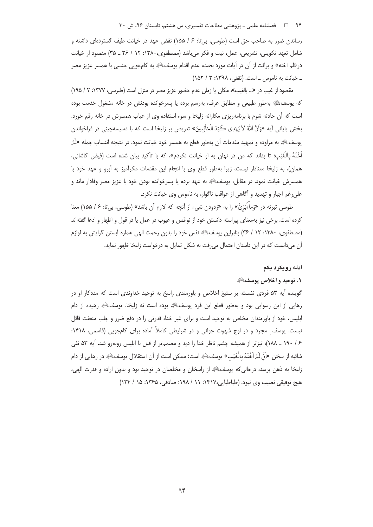## ۹۴ = فصلنامه علمی ـ پژوهشی مطالعات تفسیری، س هشتم، تابستان ۹۶، ش ۳۰

رساندن ضرر به صاحب حق است (طوسی، بی تا: ۶/ ۱۵۵) نقض عهد در خیانت طیف گستردهای داشته و شامل تعهد تكويني، تشريعي، عمل، نيت و فكر مي باشد (مصطفوى،١٣٨٠: ١٢ / ٣۶ ــ ٣۵) مقصود از خيانت در«لم اخنه» و برائت از آن در آیات مورد بحث، عدم اقدام یوسفﷺ به کامجویی جنسی با همسر عزیز مصر \_ خیانت به ناموس \_ است. (ثقفی، ۱۳۹۸: ۳ / ۱۵۲)

مقصود از غيب در «.. بالغيب»، مكان يا زمان عدم حضور عزيز مصر در منزل است (طبرسي، ١٣٧٧: ٢ / ١٩٥) كه يوسف اللهِ بهطور طبيعي و مطابق عرف، بهرسم برده يا پسرخوانده بودنش در خانه مشغول خدمت بوده است که آن حادثه شوم با برنامهریزی مکارانه زلیخا و سوء استفاده وی از غیاب همسرش در خانه رقم خورد. بخش پاياني آيه «وَأَنَّ اللهَ لاٰ يَهْدِي ڪَيْدَ الْخاٰئِنِينَ» تعريض بر زليخا است که با دسيسهڃيني در فراخواندن يوسفﷺ به مراوده و تمهيد مقدمات آن بهطور قطع به همسر خود خيانت نمود. در نتيجه انتساب جمله «لَمُر اَخُنُهُ بِالْغَيْبِ؛ تا بداند كه من در نهان به او خيانت نكردم»، كه با تأكيد بيان شده است (فيض كاشاني، همان)، به زلیخا معنادار نیست، زیرا بهطور قطع وی با انجام این مقدمات مکرآمیز به آبرو و عهد خود با همسرش خيانت نمود. در مقابل، يوسفﷺ به عهد برده يا يسرخوانده بودن خود با عزيز مصر وفادار ماند و علی رغم اجبار و تهدید و آگاهی از عواقب ناگوار، به ناموس وی خیانت نکرد.

طوسی تبرئه در «وَماٰ اُبَرِّئُ» را به «زدودن شيء از آنچه که لازم آن باشد» (طوسي، بي¤: ۶ / ۱۵۵) معنا کرده است. برخی نیز بهمعنای پیراسته دانستن خود از نواقص و عیوب در عمل یا در قول و اظهار و ادعا گفتهاند (مصطفوی، ۱۳۸۰: ۱۲ / ۳۶) بنابراین یوسفﷺ نفس خود را بدون رحمت الهی هماره آبستن گرایش به لوازم آن می دانست که در این داستان احتمال می رفت به شکل تمایل به درخواست زلیخا ظهور نماید.

#### ادله رویکرد یکم

## ١. توحيد و اخلاص يوسفﷺ

گوینده آیه ۵۳ فردی نشسته بر ستیغ اخلاص و باورمندی راسخ به توحید خداوندی است که مددکار او در رهایی از این رسوایی بود و بهطور قطع این فرد یوسفﷺ بوده است نه زلیخا. یوسفﷺ رهیده از دام ابلیس، خود از باورمندان مخلص به توحید است و برای غیر خدا، قدرتی را در دفع ضرر و جلب منعفت قائل نیست. یوسف مجرد و در اوج شهوت جوانی و در شرایطی کاملاً آماده برای کامجویی (قاسمی، ۱۴۱۸: ۱۶ ـ ۱۸۹ ـ ۱۸۸)، تیزتر از همیشه چشم ناظر خدا را دید و مصممتر از قبل با ابلیس روبهرو شد. آیه ۵۳ نفی شائبه از سخن «أَنَّ لَمْ أَخُنْهُ بِالْغَيْبِ» يوسفﷺ است؛ ممكن است از آن استقلال يوسفﷺ در رهايي از دام زليخا به ذهن برسد، درحالي كه يوسفﷺ از راسخان و مخلصان در توحيد بود و بدون اراده و قدرت الهي، هيچ توفيقي نصيب وي نبود. (طباطبايي،١۴١٧: ١١ / ١٩٨؛ صادقي، ١٣۶۵: ١٥ / ١٢۴)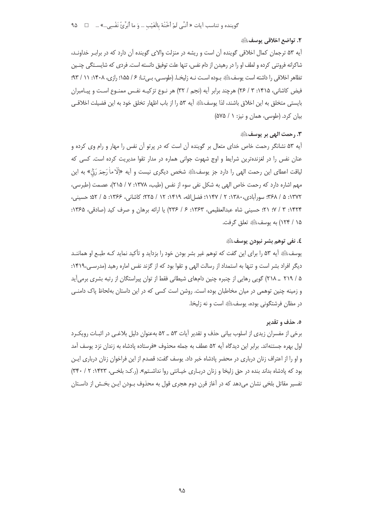گوينده و تناسب آيات « أنِّي لَمْ أَخُنْهُ بِالْغَيْبِ ... وَ ما أُبَرِّئُ نَفْسي…» ... □ 40

## ٢. تواضع اخلاقي يوسفﷺ

آيه ۵۳ ترجمان كمال اخلاقي گوينده آن است و ريشه در منزلت والاي گوينده آن دارد كه در براب خداونـد، شاکرانه فروتنی کرده و لطف او را در رهیدن از دام نفس، تنها علت توفیق دانسته است. فردی که شایســتگی چنــین تظاهر اخلاقی را داشته است یوسف الله بوده است نـه زلیخـا. (طوسـی، بـیتـا: ۶ / ۱۵۵؛ رازی، ۱۴۰۸: ۱۱ / ۹۳؛ فیض کاشانی، ۱۴۱۵: ۳ / ۲۶) هرچند برابر آیه (نجم / ۳۲) هر نـوع تزکیـه نفـس ممنـوع اسـت و پیـامبران بايستي متخلق به اين اخلاق باشند، لذا يوسفﷺ آيه ۵۳ را از باب اظهار تخلق خود به اين فضيلت اخلاقـي بيان كرد. (طوسى، همان و نيز: ١ / ٥٧۵)

## ٣. , حمت الهي بر يوسفﷺ

آیه ۵۳ نشانگر رحمت خاص خدای متعال بر گوینده آن است که در پرتو آن نفس را مهار و رام وی کرده و عنان نفس را در لغزندهترین شرایط و اوج شهوت جوانی هماره در مدار تقوا مدیریت کرده است. کسی که لياقت اعطاى اين رحمت الهي را دارد جز يوسفﷺ شخص ديگرى نيست و آيه «إلّا ماْ رَحِمَ رَقِّ» به اين مهم اشاره دارد که رحمت خاص الهی به شکل نفی سوء از نفس (طیب، ۱۳۷۸: ۷ / ۲۱۵)، عصمت (طبرسی، ١٣٧٢: ۵ / ٣۶٨؛ سورآبادي، ١٣٨٠: ٢ / ١١٤٧: فضل الله، ١٣١٩: ١٢ / ٢٢۵؛ كاشاني، ١٣۶۶: ۵ / ۵٢؛ حسيني، ١٣٢۴: ٣ / ٧: ٢١: حسيني شاه عبدالعظيمي، ١٣۶٣: ۶ / ٢٣۶) يا ارائه برهان و صرف كيد (صادقي، ١٣۶۵: ۱۵ / ۱۲۴) به یوسفﷺ تعلق گرفت.

# ٤. نفي توهم بشر نبودن يوسفﷺ

یوسفﷺ آیه ۵۳ را برای این گفت که توهم غیر بشر بودن خود را بزداید و تأکید نماید کـه طبـع او هماننـد دیگر افراد بشر است و تنها به استمداد از رسالت الهی و تقوا بود که از گزند نفس اماره رهید (مدرسی،۱۴۱۹: ۵ / ٢١٩ \_ ٢١٨) گویی رهایی از چنبره چنین دامهای شیطانی فقط از توان پیراستگان از رتبه بشری برمی آید و زمینه چنین توهمی در میان مخاطبان بوده است. روشن است کسی که در این داستان بهلحاظ یاک دامنـی در مظان فرشتگونی بوده، یوسفﷺ است و نه زلیخا.

#### ه. حذف و تقدير

برخی از مفسران زیدی از اسلوب بیانی حذف و تقدیر آیات ۵۳ ـ ۵۲ بهعنوان دلیل بلاغـی در اثبـات رویکـرد اول بهره جستنه|ند. برابر این دیدگاه آیه ۵۲ عطف به جمله محذوف «فرستاده پادشاه به زندان نزد یوسف آمد و او را از اعتراف زنان درباری در محضر پادشاه خبر داد. یوسف گفت: قصدم از این فراخوان زنان درباری ایـن بود که پادشاه بداند بنده در حق زلیخا و زنان دربـاری خیـانتی روا نداشـتم». (ر.ک: بلخـی، ۱۴۲۳: ۲ / ۳۴۰) تفسیر مقاتل بلخی نشان میدهد که در آغاز قرن دوم هجری قول به محذوف بـودن ایـن بخـش از داسـتان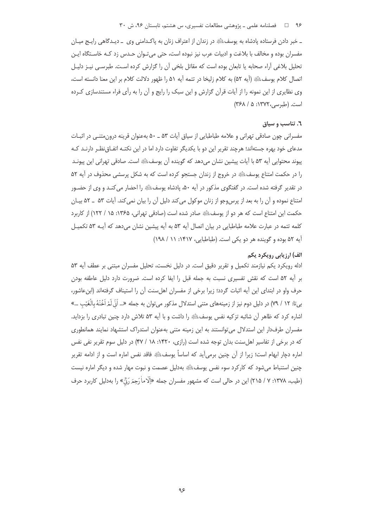## ۹۶ هـ المسلنامه علمي ـ پژوهشي مطالعات تفسيري، س هشتم، تابستان ۹۶، ش ۳۰

ـ خبر دادن فرستاده یادشاه به یوسفﷺ در زندان از اعتراف زنان به پاکـدامنی وی \_ دیـدگاهی رایـج میـان مفسران بوده و مخالف با بلاغت و ادبیات عرب نیز نبوده است، حتی می تـوان حـدس زد کـه خاسـتگاه ایـن تحلیل بلاغی آراء صحابه یا تابعان بوده است که مقاتل بلخی آن را گزارش کرده است. طبرسـی نیـز دلیـل اتصال كلام يوسفﷺ (آيه ٥٢) به كلام زليخا در تتمه آيه ٥١ را ظهور دلالت كلام بر اين معنا دانسته است، وی نظایری از این نمونه را از آیات قرآن گزارش و این سبک را رایج و آن را به رأی فراء مستندسازی کـرده است. (طبرسی، ۱۳۷۲: ۵ / ۳۶۸)

## ٦. تناسب و سياق

مفسرانی چون صادقی تهرانی و علامه طباطبایی از سیاق آیات ۵۳ ـ ۵۰ بهعنوان قرینه درون متنبی در اثبـات مدعای خود بهره جستهاند؛ هرچند تقریر این دو با یکدیگر تفاوت دارد اما در این نکتـه اتفـاق،نظـر دارنـد کـه ييوند محتوايي آيه ۵۳ با آيات پيشين نشان مي١هد كه گوينده آن يوسفﷺ است. صادقي تهراني اين پيونـد را در حکمت امتناع پوسفﷺ در خروج از زندان جستجو کرده است که به شکل پرسشی محذوف در آیه ۵۲ در تقدیر گرفته شده است. در گفتگوی مذکور در آیه ۵۰، پادشاه یوسفﷺ را احضار می کنـد و وی از حضـور امتناع نموده و آن را به بعد از پرس وجو از زنان موکول می کند دلیل آن را بیان نمی کند. آیات ۵۳ \_ ۵۲ بیـان حکمت این امتناع است که هر دو از یوسفﷺ صادر شده است (صادقی تهرانی، ۱۳۶۵: ۱۵ / ۱۲۲) از کاربرد كلمه تتمه در عبارت علامه طباطبايي در بيان اتصال آيه ۵۳ به آيه پيشين نشان مي دهد كه آيـه ۵۳ تكميـل آیه ۵۲ بوده و گوینده هر دو یکی است. (طباطبایی، ۱۴۱۷: ۱۱ / ۱۹۸)

### الف) ارزيابي رويكرد يكم

ادله رویکرد یکم نیازمند تکمیل و تقریر دقیق است. در دلیل نخست، تحلیل مفسران مبتنی بر عطف آیه ۵۳ بر آیه ۵۲ است که نقش تفسیری نسبت به جمله قبل را ایفا کرده است. ضرورت دارد دلیل عاطفه بودن حرف واو در ابتدای این آیه اثبات گردد؛ زیرا برخی از مفسران اهلِسنت آن را استیناف گرفتهاند (ابنِ عاشور، بي¤ا: ١٢ / ٧٩) در دليل دوم نيز از زمينههاي متنى استدلال مذكور مي¤وان به جمله «... اَنّي لَمَرَ اَخْنُهُ بالْغَيْب ...» اشاره کرد که ظاهر آن شائبه تزکیه نفس یوسفﷺ را داشت و با آیه ۵۳ تلاش دارد چنین تبادری را بزداید. مفسران طرفدار این استدلال می توانستند به این زمینه متنی بهعنوان استدراک استشهاد نمایند همانطوری که در برخی از تفاسیر اهل سنت بدان توجه شده است (رازی، ۱۴۲۰: ۱۸ / ۴۷) در دلیل سوم تقریر نفی نفس اماره دچار ابهام است؛ زیرا از آن چنین برمیآید که اساساً یوسفﷺ فاقد نفس اماره است و از ادامه تقریر چنین استنباط میشود که کارکرد سوء نفس یوسفﷺ بهدلیل عصمت و نبوت مهار شده و دیگر اماره نیست (طیب، ۱۳۷۸: ۷ / ۲۱۵) این در حالی است که مشهور مفسران جمله «اِلَّا ماْ رَجِمَ رَبِّي» را بهدلیل کاربرد حرف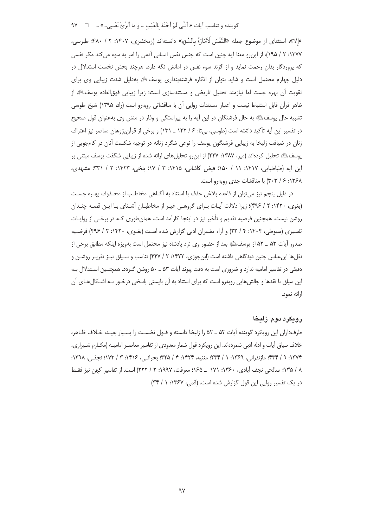# گوينده و تناسب آيات « أَنـِّي لَمْ أَخُنْهُ بِالْغَيْبِ ... وَ ما أَبَرِّئُ نَفْسي...» ... □ ٩٧

«إلا»، استثناي از موضوع جمله «النَّفْسَ لَامَبَاٰرَةٌ بِالسُّوٓءِ» دانستهاند (زمخشري، ۱۴۰۷: ۲ / ۴۸۰؛ طبرسي، ١٣٧٧: ٢ / ١٩۵)، از اين رو معنا آيه چنين است كه جنس نفس انساني آدمي را امر به سوء مي كند مگر نفسي که پروردگار بدان رحمت نماید و از گزند سوء نفس در امانش نگه دارد. هرچند بخش نخست استدلال در دلیل چهارم محتمل است و شاید بتوان از انگاره فرشتهپنداری یوسف الله بهدلیل شدت زیبایی وی برای تقويت آن بهره جست اما نيازمند تحليل تاريخي و مستندسازي است؛ زيرا زيبايي فوق|لعاده يوسفﷺ از ظاهر قرآن قابل استنباط نیست و اعتبار مستندات روایی آن با مناقشاتی روبهرو است (راد، ۱۳۹۵) شیخ طوسی تشبیه حال یوسفﷺ به حال فرشتگان در این اَیه را به پیراستگی و وقار در منش وی بهعنوان قول صحیح در تفسیر این آیه تأکید داشته است (طوسی، بیتا: ۶ / ۱۳۲ \_ ۱۳۱) و برخی از قرآنپژوهان معاصر نیز اعتراف زنان در ضیافت زلیخا به زیبایی فرشتگون یوسف را نوعی شگرد زنانه در توجیه شکست آنان در کامجویی از یوسفﷺ تحلیل کردهاند (میر، ۱۳۸۷: ۲۲۷) از این٫رو تحلیلهای ارائه شده از زیبایی شگفت یوسف مبتنی بر این آیه (طباطبایی، ۱۴۱۷: ۱۱ / ۱۵۰؛ فیض کاشانی، ۱۴۱۵: ۳ / ۱۷؛ بلخی، ۱۴۲۳: ۲ / ۳۳۱؛ مشهدی، ١٣۶٨: ۶ / ٣٠٣) با مناقشات جدى روبهرو است.

در دلیل پنجم نیز می توان از قاعده بلاغی حذف با استناد به آگـاهی مخاطـب از محـذوف بهـره جسـت (بغوي، ١۴٢٠: ٢ / ۴٩۶)؛ زيرا دلالت أيـات بـراي گروهـي غيـر از مخاطبـان أشـناي بـا ايـن قصـه چنـدان روشن نیست. همچنین فرضیه تقدیم و تأخیر نیز در اینجا کارآمد است، همان طوری کـه در برخـی از روایـات تفسیری (سیوطی، ۱۴۰۴: ۴ / ۲۳) و آراء مفسران ادبی گزارش شده است (بغـوی، ۱۴۲۰: ۲ / ۴۹۶) فرضـیه صدور آيات ۵۳ ــ ۵۲ از يوسفﷺ بعد از حضور وي نزد يادشاه نيز محتمل است بهويژه اينكه مطابق برخي از نقلها ابنءباس چنین دیدگاهی داشته است (ابن جوزی، ۱۴۲۲: ۲ / ۴۴۷) تناسب و سـیاق نیـز تقریـر روشـن و دقیقی در تفاسیر امامیه ندارد و ضروری است به دقت پیوند آیات ۵۳ ـ ۵۰ روشن گـردد. همچنـین اسـتدلال بـه این سیاق با نقدها و چالش هایی روبه٫و است که برای استناد به آن بایستی پاسخی درخـور بـه اشـکال هـای آن ارائه نمود.

## رويکرد دوم: زليخا

طرفداران این رویکرد گوینده آیات ۵۳ ـ ۵۲ را زلیخا دانسته و قـول نخسـت را بسـیار بعیـد، خـلاف ظـاهر، خلاف سیاق آیات و ادله ادبی شمردهاند. این رویکرد قول شمار معدودی از تفاسیر معاصـر امامیـه (مکـارم شـیرازی، ١٣٧۴: ٩ / ٣٣۴: مازندراني، ١٣۶٩: ١ / ٢٣۴: مغنيه، ١٤٢۴: ٣ / ٣٦۵: وجرانبي، ١٤١۶: ٣ / ١٧٣: نجفي، ١٣٩٨: ٨ / ١٣۵؛ صالحي نجف آبادي، ١٣۶٠: ١٧١ \_ ١۶۵؛ معرفت، ١٩٩٧: ٢ / ٢٢٢) است. از تفاسير كهن نيز فقـط در یک تفسیر روایی این قول گزارش شده است. (قمی، ۱۳۶۷: ۱ / ۳۴)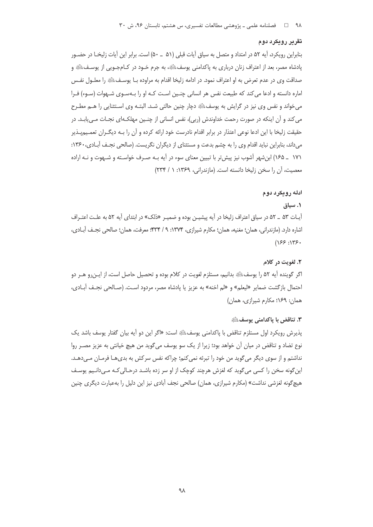### تقرير رويكرد دوم

بنابراین رویکرد، آیه ۵۲ در امتداد و متصل به سیاق آیات قبلی (۵۱ \_ ۵۰) است. برابر این آیات زلیخـا در حضـور پادشاه مصر، بعد از اعتراف زنان درباري به پاکدامني يوسفﷺ، به جرم خـود در کـامجـويي از يوسـفﷺ و صداقت وي در عدم تعرض به او اعتراف نمود. در ادامه زليخا اقدام به مراوده بـا يوسـفﷺ را معلـول نفـس اماره دانسته و ادعا می کند که طبیعت نفس هر انسانی چنـین اسـت کـه او را بـهسـوی شـهوات (سـوء) فـرا می خواند و نفس وی نیز در گرایش به پوسفﷺ دچار چنین حالتی شـد. البتـه وی اسـتثنایی را هـم مطـرح می کند و آن اینکه در صورت رحمت خداوندش (ربی)، نفس انسانی از چنـین مهلکـهای نجـات مـیLیابـد. در حقیقت زلیخا با این ادعا نوعی اعتذار در برابر اقدام نادرست خود ارائه کرده و آن را بـه دیگـران تعمـیمیـذیر می داند، بنابراین نباید اقدام وی را به چشم بدعت و مستثنای از دیگران نگریست. (صالحی نجـف آبـادی، ۱۳۶۰: ١٧١ \_ ١۶۵) ابن شهر آشوب نيز پيش تر با تبيين معناى سوء در آيه بـه صـرف خواسـته و شـهوت و نـه اراده معصیت، آن را سخن زلیخا دانسته است. (مازندرانی، ۱۳۶۹: ۱/ ۲۳۴)

#### ادله رویکرد دوم

#### ١. سياق

آيـات ۵۳ \_ ۵۲ در سياق اعتراف زليخا در آيه پيشيـن بوده و ضميـر «ذلک» در ابتداى آيه ۵۲ به علـت اعتـراف اشاره دارد. (مازندرانی، همان؛ مغنیه، همان؛ مکارم شیرازی، ۱۳۷۴: ۹ / ۴۳۴؛ معرفت، همان؛ صالحی نجـف آبــادی،  $(155:175.$ 

### ۲. لغويت در کلام

اگر گوینده آیه ۵۲ را یوسفﷺ بدانیم، مستلزم لغویت در کلام بوده و تحصیل حاصل است، از ایـن٫و هــر دو احتمال بازگشت ضمایر «لیعلم» و «لم اخنه» به عزیز یا پادشاه مصر، مردود است. (صـالحی نجـف آبــادی، همان: ۱۶۹؛ مکارم شیرازی، همان)

## **۳. تناقض با ياكدامني يوسف**ﷺ

يذيرش رويكرد اول مستلزم تناقض با ياكدامني يوسفﷺ است: «أگر اين دو آيه بيان گفتار يوسف باشد يک نوع تضاد و تناقض در ميان آن خواهد بود؛ زيرا از يک سو پوسف مي گويد من هيچ خيانتي به عزيز مصـر روا نداشتم و از سوی دیگر می گوید من خود را تبرئه نمی کنم؛ چراکه نفس سرکش به بدیها فرمـان مـی دهـد. اینگونه سخن را کسی میگوید که لغزش هرچند کوچک از او سر زده باشـد درحـالی کـه مـیدانـیم یوسـف هیچ گونه لغزشی نداشت» (مکارم شیرازی، همان) صالحی نجف آبادی نیز این دلیل را بهعبارت دیگری چنین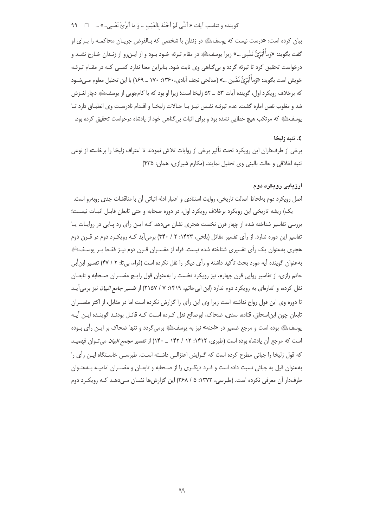# گوينده و تناسب آيات « أنِّي لَمْ أَخُنْهُ بِالْغَيْبِ ... وَ ما أُبَرِّئُ نَفْسي…» ... □ ٩٩

بیان کرده است: «درست نیست که پوسفﷺ در زندان با شخصی که بـالفرض جریـان محاکمـه را بـرای او گفت بگويد: «وَماٰ اُبَرِّئُ نَفْسٍي …» زيرا يوسفﷺ در مقام تبرئه خـود بـود و از ايـن٫و از زنـدان خـارج نشــد و درخواست تحقیق کرد تا تبرئه گردد و بی *گ*ناهی وی ثابت شود. بنابراین معنا ندارد کســی کـه در مقـام تبرئـه خويش است بگويد: «وَماْۤابُرِّئُ نَفْسٖيّ …» (صالحي نجف آبادي،١٣۶٠: ١٧٠ \_ ١۶٩) با اين تحليل معلوم مـيشـود که برخلاف رویکرد اول، گوینده آیات ۵۳ ــ ۵۲ زلیخا است؛ زیرا او بود که با کامجویی از یوسفﷺ دچار ل*غـ*زش شد و مغلوب نفس اماره گشت. عدم تبرئـه نفـس نيـز بـا حـالات زليخـا و اقـدام نادرسـت وي انطبـاق دارد تـا يوسفﷺ كه مرتكب هيچ خطايي نشده بود و براي اثبات بيگناهي خود از پادشاه درخواست تحقيق كرده بود.

### ٤. تنبه ;ليخا

برخی از طرفداران این رویکرد تحت تأثیر برخی از روایات تلاش نمودند تا اعتراف زلیخا را برخاسته از نوعی تنبه اخلاقی و حالت بالینی وی تحلیل نمایند. (مکارم شیرازی، همان: ۴۳۵)

# ارزیابی رویکرد دوم

اصل رویکرد دوم بهلحاظ اصالت تاریخی، روایت استنادی و اعتبار ادله اثباتی آن با مناقشات جدی روبهرو است.

یک) ریشه تاریخی این رویکرد برخلاف رویکرد اول، در دوره صحابه و حتی تابعان قابـل اثبـات نیسـت؛ بررسی تفاسیر شناخته شده از چهار قرن نخست هجری نشان میدهد کـه ایـن رأی رد پـایی در روایـات یـا تفاسیر این دوره ندارد. از رأی تفسیر مقاتل (بلخی، ۱۴۲۳: ۲ / ۳۴۰) برمی آید کـه رویکـرد دوم در قـرن دوم هجری بهعنوان یک رأی تفسیری شناخته شده نیست. فراء از مفسـران قـرن دوم نیـز فقـط بـر پوسـفﷺ بهعنوان گوینده آیه مورد بحث تأکید داشته و رأی دیگر را نقل نکرده است (فراء، بی تا: ۲ / ۴۷) تفسیر ابن أبی حاتم رازی، از تفاسیر روایی قرن چهارم، نیز رویکرد نخست را بهعنوان قول رایـج مفسـران صـحابه و تابعـان نقل کرده، و اشارهای به رویکرد دوم ندارد (ابن ابیحاتم، ۱۴۱۹: ۷ / ۲۱۵۷) از *تفسیر جامع البیان* نیز برمیآیـد تا دوره وی این قول رواج نداشته است زیرا وی این رأی را گزارش نکرده است اما در مقابل، از اکثر مفسـران تابعان چون ابن|سحاق، قتاده، سدی، ضحاک، ابوصالح نقل کـرده اسـت کـه قائـل بودنـد گوینـده ایـن آیـه یوسفﷺ بوده است و مرجع ضمیر در «اخنه» نیز به یوسفﷺ برمی5ردد و تنها ضحاک بر ایـن رأی بـوده است که مرجع آن پادشاه بوده است (طبری، ۱۴۱۲: ۱۲ / ۱۴۲ \_ ۱۴۰) از *تفسیر مجمع البیان* میتوان فهمیـد که قول زلیخا را جبائی مطرح کرده است که گـرایش اعتزالـی داشـته اسـت. طبرسـی خاسـتگاه ایـن رأی را بهعنوان قيل به جبائي نسبت داده است و فـرد ديگـري را از صـحابه و تابعـان و مفسـران اماميـه بـهعنـوان طرفدار آن معرفی نکرده است. (طبرسی، ۱۳۷۲: ۵ / ۳۶۸) این گزارش ها نشـان مـی دهـد کـه رویکـرد دوم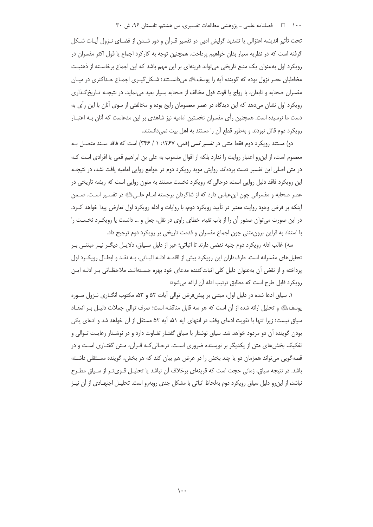۱۰۰ فصلنامه علمی ـ پژوهشی مطالعات تفسیری، س هشتم، تابستان ۹۶، ش ۳۰

تحت تأثیر اندیشه اعتزالی یا تشدید گرایش ادبی در تفسیر قـرآن و دور شـدن از فضـای نـزول آیـات شـکل گرفته است که در نظریه معیار بدان خواهیم پرداخت. همچنین توجه به کارکرد اجماع یا قول اکثر مفسران در رویکرد اول بهعنوان یک منبع تاریخی میتواند قرینهای بر این مهم باشد که این اجماع برخاسته از ذهنیت مخاطبان عصر نزول بوده که گوینده آیه را پوسفﷺ می۵انسـتند؛ شـکل گیـری اجمـاع حـداکثری در میـان مفسران صحابه و تابعان، با رواج یا قوت قول مخالف از صحابه بسیار بعید می نماید. در نتیجـه تــاریخ گــذاری رویکرد اول نشان می دهد که این دیدگاه در عصر معصومان رایج بوده و مخالفتی از سوی آنان با این رأی به دست ما نرسیده است. همچنین رأی مفسران نخستین امامیه نیز شاهدی بر این مدعاست که آنان بـه اعتبـار رویکرد دوم قائل نبودند و بهطور قطع آن را مستند به اهل بیت نمی دانستند.

دو) مستند رویکرد دوم فقط متنی در ت*فسیر قمی* (قمی، ۱۳۶۷: ۱ / ۳۴۶) است که فاقد سـند متصـل بـه معصوم است، از این رو اعتبار روایت را ندارد بلکه از اقوال منسوب به علی بن ابراهیم قمی یا افرادی است کـه در متن اصلی این تفسیر دست بردهاند. روایتی موید رویکرد دوم در جوامع روایی امامیه یافت نشد، در نتیجـه این رویکرد فاقد دلیل روایی است، درحالی که رویکرد نخست مستند به متون روایی است که ریشه تاریخی در عصر صحابه و مفسرانی چون ابنِ عباس دارد که از شاگردان برجسته امـام علـی ﷺ در تفسـیر اسـت. ضـمن اینکه بر فرض وجود روایت معتبر در تأیید رویکرد دوم، با روایات و ادله رویکرد اول تعارض پیدا خواهد کـرد. در این صورت می توان صدور آن را از باب تقیه، خطای راوی در نقل، جعل و … دانست یا رویک رد نخسـت را با استناد به قراین برون،تنی چون اجماع مفسران و قدمت تاریخی بر رویکرد دوم ترجیح داد.

سه) غالب ادله رویکرد دوم جنبه نقضی دارند تا اثباتی؛ غیر از دلیل سـیاق، دلایـل دیگـر نیـز مبتنـی بـر تحلیل های مفسرانه است. طرفداران این رویکرد بیش از اقامـه ادلـه اثبـاتی، بـه نقـد و ابطـال رویکـرد اول پرداخته و از نقض آن بهعنوان دلیل کلی اثباتکننده مدعای خود بهره جسـتهانـد. ملاحظـاتی بـر ادلـه ایـن رویکرد قابل طرح است که مطابق ترتیب ادله آن ارائه می شود:

١. سياق ادعا شده در دليل اول، مبتنى بر پيش فرض توالى آيات ٥٢ و ٥٣، مكتوب انگـارى نـزول سـوره يوسفﷺ و تحليل ارائه شده از آن است كه هر سه قابل مناقشه است؛ صرف توالى جملات دليـل بـر انعقـاد سياق نيست؛ زيرا تنها با تقويت ادعاى وقف در انتهاى آيه ۵۱، آيه ۵۲ مستقل از آن خواهد شد و ادعاى يكي بودن گوینده آن دو مردود خواهد شد. سیاق نوشتار با سیاق گفتـار تفـاوت دارد و در نوشـتار رعایـت تـوالی و تفکیک بخش های متن از یکدیگر بر نویسنده ضروری اسـت. درحـالی کـه قـرآن، مـتن گفتـاری اسـت و در قصه گویی میتواند همزمان دو یا چند بخش را در عرض هم بیان کند که هر بخش، گوینده مسـتقلی داشـته باشد. در نتیجه سیاق، زمانی حجت است که قرینهای برخلاف آن نباشد یا تحلیـل قـویتـر از سـیاق مطـرح نباشد، از این٫و دلیل سیاق ٫ویکرد دوم بهلحاظ اثباتی با مشکل جدی ٫وبه٫و است. تحلیـل اجتهـادی از آن نیـز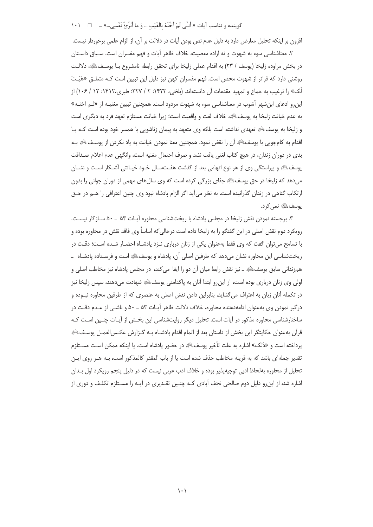گوينده و تناسب آيات « أنِّي لَمْ أَخُنْهُ بِالْغَيْبِ ... وَ ما أُبَرِّئُ نَفْسي...» ... □ ١٠١

افزون بر اینکه تحلیل معارض دارد به دلیل عدم نص بودن آیات در دلالت بر آن، از الزام علمی برخوردار نیست.

٢. معناشناسی سوء به شهوت و نه اراده معصیت، خلاف ظاهر آیات و فهم مفسران است. سیاق داستان در بخش مراوده زليخا (يوسف / ٢٣) به اقدام عملي زليخا براي تحقق رابطه نامشروع بـا يوسـفﷺ، دلالـت روشنی دارد که فراتر از شهوت محض است. فهم مفسران کهن نیز دلیل این تبیین است کـه متعلــق «هَیْـتَ لَک» را ترغیب به جماع و تمهید مقدمات آن دانستهاند. (بلخی، ۱۴۲۳: ۲ / ۳۲۷؛ طبری،۱۴۱۲: ۱۲ / ۱۰۶) از این٫رو ادعای ابنشهر آشوب در معناشناسی سوء به شهوت مردود است. همچنین تبیین مغنیـه از «لـم اخنـه» به عدم خیانت زلیخا به یوسفﷺ، خلاف لغت و واقعیت است؛ زیرا خیانت مستلزم تعهد فرد به دیگری است و زلیخا به پوسفﷺ تعهدی نداشته است بلکه وی متعهد به پیمان زناشویی با همسر خود بوده است کـه بـا اقدام به كامجويي با يوسفﷺ أن را نقض نمود. همچنين معنا نمودن خيانت به ياد نكردن از يوسـفﷺ بـه بدی در دوران زندان، در هیچ کتاب لغتی یافت نشد و صرف احتمال مغنیه است، وانگهی عدم اعلام صـداقت يوسفﷺ و پيراستگي وي از هر نوع اتهامي بعد از گذشت هفـتسـال خـود خيـانتي آشـكار اسـت و نشـان می دهد که زلیخا در حق یوسفﷺ جفای بزرگی کرده است که وی سالهای مهمی از دوران جوانی را بدون ارتکاب گناهی در زندان گذرانیده است. به نظر میآید اگر الزام پادشاه نبود وی چنین اعترافی را هـم در حـق يوسف ﷺ نمي كرد.

۳. برجسته نمودن نقش زلیخا در مجلس یادشاه با ریختشناسی محاوره آیـات ۵۳ ـ ۵۰ سـازگار نیسـت. رویکرد دوم نقش اصلی در این گفتگو را به زلیخا داده است درحالی که اساساً وی فاقد نقش در محاوره بوده و با تسامح می توان گفت که وی فقط بهعنوان یکی از زنان درباری نـزد یادشـاه احضـار شـده اسـت؛ دقـت در ریختشناسی این محاوره نشان میدهد که طرفین اصلی آن، پادشاه و پوسفﷺ است و فرسـتاده پادشـاه \_ همزندانی سابق یوسفﷺ ـ نیز نقش رابط میان آن دو را ایفا می کند، در مجلس پادشاه نیز مخاطب اصلی و اولی وی زنان درباری بوده است، از این رو ابتدا آنان به پاکدامنی یوسفﷺ شهادت میدهند، سپس زلیخا نیز در تکمله آنان زبان به اعتراف میگشاید، بنابراین دادن نقش اصلی به عنصری که از طرفین محاوره نبـوده و درگیر نمودن وی بهعنوان ادامهدهنده محاوره، خلاف دلالت ظاهر آیـات ۵۳ ـ ۵۰ و ناشـی از عـدم دقـت در ساختارشناسی محاوره مذکور در أيات است. تحليل ديگر روايتشناسی اين بخـش از آيـات چنـين اسـت کـه قرآن بهعنوان حکایتگر این بخش از داستان بعد از اتمام اقدام پادشــاه بــه گــزارش عکــس|لعمــل یوســفﷺ پرداخته است و «ذلک» اشاره به علت تأخیر یوسفﷺ در حضور پادشاه است. یا اینکه ممکن است مسـتلزم تقدیر جملهای باشد که به قرینه مخاطب حذف شده است یا از باب المقدر کالمذکور است، بـه هـر روی ایـن تحلیل از محاوره بهلحاظ ادبی توجیهپذیر بوده و خلاف ادب عربی نیست که در دلیل پنجم رویکرد اول بـدان اشاره شد، از این٫و دلیل دوم صالحی نجف آبادی کـه چنـین تقـدیری در آیـه را مسـتلزم تکلـف و دوری از

 $\langle \cdot \rangle$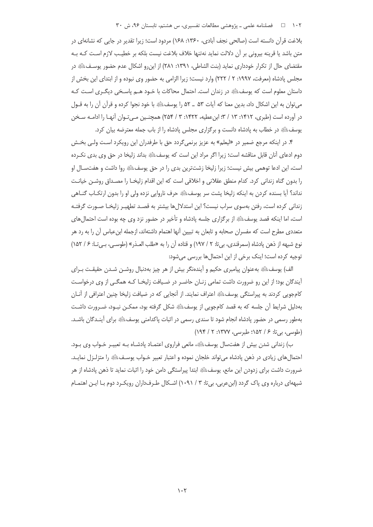## ۱۰۲ فصلنامه علمی ـ پژوهشی مطالعات تفسیری، س هشتم، تابستان ۹۶، ش ۳۰

بلاغت قرآن دانسته است (صالحی نجف آبادی، ۱۳۶۰: ۱۶۸) مردود است؛ زیرا تقدیر در جایی که نشانهای در متن باشد یا قرینه بیرونی بر آن دلالت نماید نهتنها خلاف بلاغت نیست بلکه بر خطیب لازم اسـت کـه بـه مقتضاى حال از تكرار خوددارى نمايد (بنت الشاطي، ١٣٩١: ٢٨١) از اين,رو اشكال عدم حضور يوسـفﷺ در مجلس یادشاه (معرفت، ۱۹۹۷: ۲ / ۲۲۲) وارد نیست؛ زیرا الزامی به حضور وی نبوده و از ابتدای این بخش از داستان معلوم است که پوسفﷺ در زندان است. احتمال محاکات با خــود هــم پاسـخى ديگــرى اســت کــه می توان به این اشکال داد، بدین معنا که آیات ۵۳ \_ ۵۲ را یوسف ای اخود نجوا کرده و قرآن آن را به قـول در آورده است (طبری، ۱۴۱۲: ۱۳ / ۳: ابنِ عطیه، ۱۴۲۲: ۳ / ۲۵۴) همچنـین مـی تـوان آنهـا را ادامـه سـخن يوسف عليه در خطاب به پادشاه دانست و برگزاري مجلس پادشاه را از باب جمله معترضه بيان كرد.

۴. در اینکه مرجع ضمیر در «لیعلم» به عزیز برنمیگردد حق با طرفدران این رویکرد است ول<sub>ع</sub>ی بخش دوم ادعای آنان قابل مناقشه است؛ زیرا اگر مراد این است که یوسفﷺ بداند زلیخا در حق وی بدی نکـرده است، این ادعا توهمی بیش نیست؛ زیرا زلیخا زشتترین بدی را در حق پوسفﷺ روا داشت و هفتسـال او را بدون گناه زندانی کرد. کدام منطق عقلانی و اخلاقی است که این اقدام زلیخـا را مصـداق روشـن خیانـت نداند؟ آيا بسنده كردن به اينكه زليخا پشت سر يوسفﷺ حرف ناروايي نزده ولي او را بدون ارتكـاب گنــاهي زندانی کرده است، رفتن بهسوی سراب نیست؟ این استدلالها بیشتر به قصـد تطهیـر زلیخـا صـورت گرفتـه است، اما اینکه قصد یوسفﷺ از برگزاری جلسه یادشاه و تأخیر در حضور نزد وی چه بوده است احتمال های متعددی مطرح است که مفسران صحابه و تابعان به تبیین آنها اهتمام داشتهاند، ازجمله ابن عباس آن را به رد هر نوع شبهه از ذهن يادشاه (سمرقندي، بي تا: ٢ / ١٩٧) و قتاده آن را به «طلب العـذر» (طوسـي، بـي تـا: ۶ / ١۵٢) توجیه کرده است؛ اینک برخی از این احتمال ها بررسی می شود:

الف) يوسفﷺ بهعنوان پيامبري حكيم و آيندهنگر بيش از هر چيز بهدنبال روشـن شـدن حقيقـت بـراي آیندگان بود؛ از این رو ضرورت داشت تمامی زنـان حاضـر در ضـیافت زلیخـا کـه همگـی از وی درخواسـت كامجويي كردند به پيراستگي يوسفﷺ اعتراف نمايند. از آنجايي كه در ضيافت زليخا چنين اعترافي از آنــان بهدلیل شرایط آن جلسه که به قصد کامجویی از یوسفﷺ شکل گرفته بود، ممکـن نبـود، ضـرورت داشـت بهطور رسمی در حضور پادشاه انجام شود تا سندی رسمی در اثبات پاکدامنی یوسفﷺ برای آینـدگان باشـد. (طوسی، بی تا: ۶ / ۱۵۲؛ طبرسی، ۱۳۷۷: ۲ / ۱۹۴)

ب) زندانی شدن بیش از هفتسال یوسفﷺ، مانعی فراروی اعتمـاد پادشـاه بـه تعبیـر خـواب وی بـود. احتمال های زیادی در ذهن پادشاه می تواند خلجان نموده و اعتبار تعبیر خـواب پوسـفﷺ را متزلـزل نمایـد. ضرورت داشت برای زدودن این مانع، یوسفﷺ ابتدا پیراستگی دامن خود را اثبات نماید تا ذهن پادشاه از هر شبههای درباره وی پاک گردد (ابن عربی، بی تا: ۳ / ۱۰۹۱) اشـکال طـرف<code>دارا</code>ن رویکـرد دوم بـا ایـن اهتمـام

 $\cdot$ ۲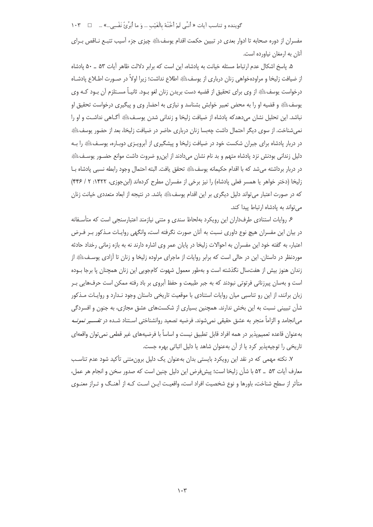# گوينده و تناسب آيات « أنِّي لَمْ أَخُنْهُ بِالْغَيْبِ ... وَ ما أُبَرِّئُ نَفْسي...» ... □ ١٠٣

مفسران از دوره صحابه تا ادوار بعدی در تبیین حکمت اقدام یوسفﷺ چیزی جزء آسیب تتبـع نـاقص بـرای آنان به ارمغان نیاورده است.

۵. یاسخ اشکال عدم ارتباط مسئله خیانت به یادشاه، این است که برابر دلالت ظاهر آیات ۵۳ ـ ۵۰ یادشاه از ضیافت زلیخا و مراودهخواهی زنان درباری از یوسفﷺ اطلاع نداشت؛ زیرا اولاً در صـورت اطـلاع یادشـاه درخواست یوسفﷺ از وی برای تحقیق از قضیه دست بریدن زنان لغو بـود. ثانیـاً مسـتلزم آن بـود کـه وی يوسفﷺ و قضيه او را به محض تعبير خوابش بشناسد و نيازي به احضار وي و پيگيري درخواست تحقيق او نباشد. این تحلیل نشان میدهدکه پادشاه از ضیافت زلیخا و زندانی شدن پوسـفﷺ آگـاهی نداشـت و او را نمیشناخت. از سوی دیگر احتمال داشت چهبسا زنان درباری حاضر در ضیافت زلیخا، بعد از حضور یوسفﷺ در دربار پادشاه برای جبران شکست خود در ضیافت زلیخا و پیشگیری از آبرویـزی دوبـاره، یوسـفﷺ را بـه دلیل زندانی بودنش نزد پادشاه متهم و بد نام نشان میدادند از این٫رو ضروت داشت موانع حضـور پوسـفﷺ در دربار برداشته میشد که با اقدام حکیمانه یوسفﷺ تحقق یافت. البته احتمال وجود رابطه نسبی پادشاه بـا زلیخا (دختر خواهر یا همسر فعلی پادشاه) را نیز برخی از مفسران مطرح کردهاند (ابن جوزی، ۱۴۲۲: ۲ / ۴۴۶) كه در صورت اعتبار مي تواند دليل ديگري بر اين اقدام يوسفﷺ باشد. در نتيجه از ابعاد متعددي خيانت زنان می تواند به پادشاه ارتباط پیدا کند.

۶. روایات استنادی طرفداران این رویکرد بهلحاظ سندی و متنی نیازمند اعتبارسنجی است که متأسـفانه در بیان این مفسران هیچ نوع داوری نسبت به آنان صورت نگرفته است، وانگهی روایـات مـذکور بـر فـرض اعتبار، به گفته خود این مفسران به احوالات زلیخا در پایان عمر وی اشاره دارند نه به بازه زمانی رخداد حادثه موردنظر در داستان. این در حالی است که برابر روایات از ماجرای مراوده زلیخا و زنان تا آزادی پوسـفﷺ از زندان هنوز بیش از هفتسال نگذشته است و بهطور معمول شهوت کامجویی این زنان همچنان یا برجا بـوده است و بهسان پیرزنانی فرتوتی نبودند که به جبر طبیعت و حفظ آبروی بر باد رفته ممکن است حرفهایی بـر زبان برانند، از این رو تناسبی میان روایات استنادی با موقعیت تاریخی داستان وجود نـدارد و روایــات مــذکور شأن تبیینی نسبت به این بخش ندارند. همچنین بسیاری از شکستهای عشق مجازی، به جنون و افسردگی می|نجامد و الزاماً منجر به عشق حقیقی نمیشوند. فرضیه تصعید روانشناختی اسـتناد شـده در *تفســیر نمونــه* بهعنوان قاعده تعميميذير در همه افراد قابل تطبيق نيست و اساساً با فرضيههاي غير قطعي نمى توان واقعهاي تاریخی را توجیهپذیر کرد یا از آن بهعنوان شاهد یا دلیل اثباتی بهره جست.

۷. نکته مهمی که در نقد این رویکرد بایستی بدان بهعنوان یک دلیل برون،متنی تأکید شود عدم تناسب معارف آيات ۵۳ \_ ۵۲ با شأن زليخا است؛ پيش فرض اين دليل چنين است كه صدور سخن و انجام هر عمل، متأثر از سطح شناخت، باورها و نوع شخصیت افراد است، واقعیت ایـن اسـت کـه از آهنـگ و تـراز معنـوی

 $\eta \cdot \eta$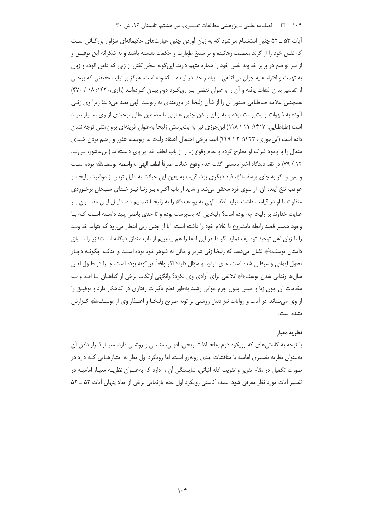آیات ۵۳ ــ ۵۲ چنین استشمام می شود که به زبان آوردن چنین عبارتهای حکیمانهای سزاوار بزرگـانی اسـت که نفس خود را از گزند معصیت رهانیده و بر ستیغ طهارت و حکمت نشسته باشند و به شکرانه این توفیــق و از سر تواضع در برابر خداوند نفس خود را هماره متهم دارند. این گونه سخن گفتن از زنی که دامن آلوده و زبان به تهمت و افتراء علیه جوان بی گناهی \_ پیامبر خدا در آینده \_ گشوده است، هرگز بر نیاید. حقیقتی که برخـی از تفاسیر بدان التفات یافته و آن را به عنوان نقضی بـر رویکـرد دوم بیـان کـردهانـد (رازی، ۱۴۲۰: ۱۸ / ۴۷۰) همچنین علامه طباطبایی صدور آن را از شأن زلیخا در باورمندی به ربوبیت الهی بعید میداند؛ زیرا وی زنـی آلوده به شهوات و بتپرست بوده و به زبان راندن چنین عبارتی با مضامین عالی توحیدی از وی بسـیار بعیـد است (طباطبایی، ۱۴۱۷: ۱۱ / ۱۹۸) ابن جوزی نیز به بتپرستی زلیخا بهعنوان قرینهای برون متنی توجه نشان داده است (ابنجوزي، ١۴٢٢: ٢ / ۴۴٩) البته برخي احتمال اعتقاد زليخا به ربوبيت، غفور و رحيم بودن خـداي متعال را با وجود شرک او مطرح کرده و عدم وقوع زنا را از باب لطف خدا بر وی دانستهاند (ابنِعاشور، بـیتـا: ١٢ / ٧٩) در نقد ديدگاه اخير بايستي گفت عدم وقوع خيانت صرفاً لطف الهي بهواسطه يوسفﷺ بوده اسـت و بس و اگر به جای پوسفﷺ، فرد دیگری بود، قریب به یقین این خیانت به دلیل ترس از موقعیت زلیخـا و عواقب تلخ آینده آن، از سوی فرد محقق میشد و شاید از باب اکـراه بـر زنـا نیـز خـدای سـبحان برخـوردی متفاوت با او در قیامت داشت. نباید لطف الهی به یوسفﷺ را به زلیخـا تعمـیم داد. دلیـل ایـن مفســران بـر عنایت خداوند بر زلیخا چه بوده است؟ زلیخایی که بتپرست بوده و تا حدی باطنی پلید داشته است کـه بـا وجود همسر قصد رابطه نامشروع با غلام خود را داشته است، أيا از چنين زني انتظار ميرود كه بتواند خداونـد را با زبان اهل توحید توصیف نماید اگر ظاهر این ادعا را هم بپذیریم از باب منطق دوگانه است؛ زیـرا سـیاق داستان پوسفﷺ نشان می۱هد که زلیخا زنی شریر و خائن به شوهر خود بوده اسـت و اینکـه چگونـه دچـار تحول ایمانی و عرفانی شده است، جای تردید و سؤال دارد؟ اگر واقعاً این گونه بوده است، چـرا در طـول ایـن سالها زندانی شدن یوسفﷺ تلاشی برای آزادی وی نکرد؟ وانگهی ارتکاب برخی از گناهـان یـا اقـدام بـه مقدمات آن چون زنا و حبس بدون جرم جوانی رشید بهطور قطع تأثیرات رفتاری در گناهکار دارد و توفیــق را از وی میستاند. در آیات و روایات نیز دلیل روشنی بر توبه صریح زلیخـا و اعتـذار وی از یوسـفﷺ گـزارش نشده است.

#### نظريه معيار

با توجه به کاستیهای که رویکرد دوم بهلحـاظ تـاریخی، ادبـی، منبعـی و روشـی دارد، معیـار قـرار دادن آن بهعنوان نظریه تفسیری امامیه با مناقشات جدی روبهرو است. اما رویکرد اول نظر به امتیازهـایی کـه دارد در صورت تکمیل در مقام تقریر و تقویت ادله اثباتی، شایستگی آن را دارد که بهعنـوان نظریـه معیـار امامیـه در تفسیر آیات مورد نظر معرفی شود. عمده کاستی رویکرد اول عدم بازنمایی برخی از ابعاد پنهان آیات ۵۳ ـ ۵۲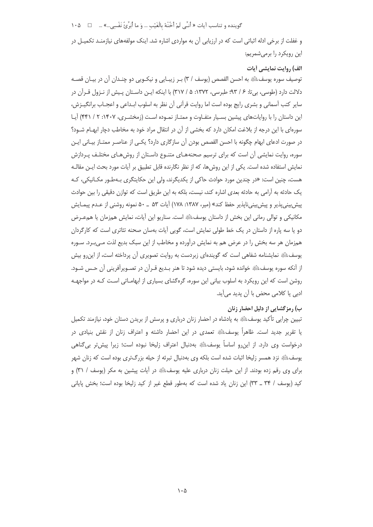# گوينده و تناسب آيات « أنِّي لَمْ أَخُنْهُ بِالْغَيْبِ ... وَ ما أَبَرِّئُ نَفْسي...» ... □ ١٠۵

و غفلت از برخی ادله اثباتی است که در ارزیابی آن به مواردی اشاره شد. اینک مولفههای نیازمنـد تکمیـل در این رویکرد را برمی شمریم:

## الف) , وايت نمايشي أيات

توصيف سوره يوسفﷺ به احسن القصص (يوسف / ٣) بـر زيبـايي و نيكـويي دو چنـدان أن در بيـان قصـه دلالت دارد (طوسی، بی تا: ۶ / ۹۳؛ طبرسی، ۱۳۷۲: ۵ / ۳۱۷) با اینکه ایــن داسـتان پـیش از نــزول قــرآن در سایر کتب آسمانی و بشری رایج بوده است اما روایت قرآنی آن نظر به اسلوب ابـداعی و اعجــاب برانگیــزش، این داستان را با روایاتهای پیشین بسیار متفـاوت و ممتـاز نمـوده اسـت (زمخشـری، ۱۴۰۷: ۲ / ۴۴۱) آیـا سورهای با این درجه از بلاغت امکان دارد که بخشی از آن در انتقال مراد خود به مخاطب دچار ابهـام شـود؟ در صورت ادعای ابهام چگونه با احسن القصص بودن آن سازگاری دارد؟ یکـی از عناصـر ممتـاز بیـانی ایـن سوره، روایت نمایشی آن است که برای ترسیم صحنههـای متنـوع داسـتان از روش هـای مختلـف پـردازش نمایش استفاده شده است. یکی از این روشها، که از نظر نگارنده قابل تطبیق بر آیات مورد بحث ایـن مقالـه هست، چنین است: «در چندین مورد حوادث حاکی از یکدیگرند، ولی این حکایتگری بـهطـور مکـانیکی، کـه یک حادثه به آرامی به حادثه بعدی اشاره کند، نیست، بلکه به این طریق است که توازن دقیقی را بین حوادث پیش بینی پذیر و پیش بینی ناپذیر حفظ کند» (میر، ۱۳۸۷: ۱۷۸) آیات ۵۳ ــ ۵۰ نمونه روشنی از عـدم پیمـایش مکانیکی و توالی رمانی این بخش از داستان پوسفﷺ است. سناریو این آیات، نمایش همزمان یا همعـرض دو یا سه یاره از داستان در یک خط طولی نمایش است، گویی آیات بهسان صحنه تئاتری است که کارگردان همزمان هر سه بخش را در عرض هم به نمایش درآورده و مخاطب از این سبک بدیع لذت مـی.بـرد. سـوره یوسفﷺ نمایشنامه شفاهی است که گویندهای زبردست به روایت تصویری آن پرداخته است، از این رو بیش از آنکه سوره یوسفﷺ خوانده شود، بایستی دیده شود تا هنر بـدیع قـرآن در تصـویرآفرینی آن حـس شـود. روشن است که این رویکرد به اسلوب بیانی این سوره، گرهگشای بسیاری از ابهامـاتی اسـت کـه در مواجهـه ادبی یا کلامی محض با آن پدید می آید.

## ب) رمزگشایی از دلیل احضار زنان

تبیین چرایی تأکید یوسفﷺ به پادشاه در احضار زنان درباری و پرسش از بریدن دستان خود، نیازمند تکمیل یا تقریر جدید است. ظاهراً یوسفﷺ تعمدی در این احضار داشته و اعتراف زنان از نقش بنیادی در درخواست وی دارد. از این رو اساساً یوسفﷺ بهدنبال اعتراف زلیخا نبوده است؛ زیرا پیش تر بی گناهی یوسفﷺ نزد همسر زلیخا اثبات شده است بلکه وی بهدنبال تبرئه از حیله بزرگتری بوده است که زنان شهر برای وی رقم زده بودند. از این حیلت زنان درباری علیه یوسف الله در آیات پیشین به مکر (یوسف / ۳۱) و کید (یوسف / ۳۴ \_ ۳۳) این زنان یاد شده است که بهطور قطع غیر از کید زلیخا بوده است؛ بخش پایانی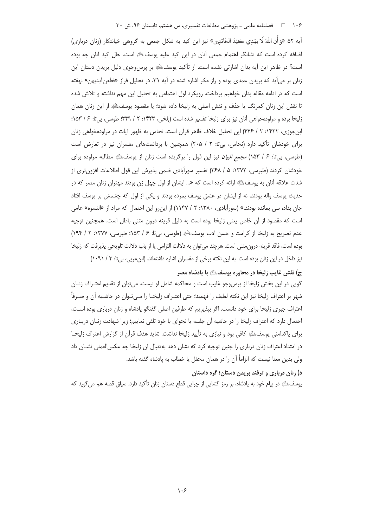## ۱۰۶ = ه ضلنامه علمی ـ پژوهشی مطالعات تفسیری، س هشتم، تابستان ۹۶، ش ۳۰

أيه ۵۲ «وَ أن اللهَ لَا يهَدِي كيْدَ الخَّائِنِين» نيز اين كيد به شكل جمعي به گروهي خيانتكار (زنان درباري) اضافه کرده است که نشانگر اهتمام جمعی آنان در این کید علیه یوسف ای است. حال کید آنان چه بوده است؟ در ظاهر این آیه بدان اشارتی نشده است. از تأکید یوسفﷺ بر پرسeجوی دلیل بریدن دستان این زنان بر می آید که بریدن عمدی بوده و راز مکر اشاره شده در آیه ۳۱، در تحلیل فراز «قطعن ایدیهن» نهفته است که در ادامه مقاله بدان خواهیم پرداخت. رویکرد اول اهتمامی به تحلیل این مهم نداشته و تلاش شده تا نقش این زنان کمرنگ یا حذف و نقش اصلی به زلیخا داده شود؛ یا مقصود پوسفﷺ از این زنان همان زلیخا بوده و مراودهخواهی آنان نیز برای زلیخا تفسیر شده است (بلخی، ۱۴۲۳: ۲ / ۳۳۹: طوسی، بیتا: ۶ / ۵۳: ابنجوزی، ۱۴۲۲: ۲ / ۴۴۶) این تحلیل خلاف ظاهر قرآن است. نحاس به ظهور آیات در مراودهخواهی زنان برای خودشان تأکید دارد (نحاس، بی تا: ۲ / ۲۰۵) همچنین با برداشتهای مفسران نیز در تعارض است (طوسی، بیتا: ۶ / ۱۵۳) *مجمع البیان* نیز این قول را برگزیده است زنان از یوسفﷺ مطالبه مراوده برای خودشان كردند (طبرسی، ۱۳۷۲: ۵ / ۳۶۸) تفسیر سورآبادی ضمن پذیرش این قول اطلاعات افزون تری از شدت علاقه آنان به یوسفﷺ ارائه کرده است که «… ایشان از اول چهل زن بودند مهتران زنان مصر که در حديث يوسف واله بودند، نه از ايشان در عشق يوسف بمرده بودند و يكي از اول كه چشمش بر يوسف افتاد جان بداد، سی بمانده بودند.» (سورآبادی، ۱۳۸۰: ۲ / ۱۱۴۷) از این رو این احتمال که مراد از «النسوه» عامی است که مقصود از آن خاص یعنی زلیخا بوده است به دلیل قرینه درون متنی باطل است. همچنین توجیه عدم تصريح به زليخا از كرامت و حسن ادب يوسفﷺ (طوسى، بي¤: ۶ / ١۵٣. طبرسى، ١٣٧٧: ٢ / ١٩۴) بوده است، فاقد قرينه درون متنى است. هرچند مى توان به دلالت التزامى يا از باب دلالت تلويحى پذيرفت كه زليخا نیز داخل در این زنان بوده است. به این نکته برخی از مفسران اشاره داشتهاند. (ابنعربی، بیتا: ۳ / ۱۰۹۱)

# ج) نقش غايب زليخا در محاوره يوسف ﷺ با يادشاه مصر

گویی در این بخش زلیخا از پرسeوجو غایب است و محاکمه شامل او نیست. میïوان از تقدیم اعتـراف زنـان شهر بر اعتراف زليخا نيز اين نكته لطيف را فهميد؛ حتى اعتـراف زليخـا را مـيتـوان در حاشـيه أن و صـرفاً اعتراف جبری زلیخا برای خود دانست. اگر بپذیریم که طرفین اصلی گفتگو پادشاه و زنان درباری بوده است، احتمال دارد که اعتراف زلیخا را در حاشیه آن جلسه یا نجوای با خود تلقی نماییم؛ زیرا شهادت زنـان دربـاری برای پاکدامنی یوسف ﷺ کافی بود و نیازی به تأیید زلیخا نداشت. شاید هدف قرآن از گزارش اعتراف زلیخا در امتداد اعتراف زنان درباری را چنین توجیه کرد که نشان دهد بهدنبال آن زلیخا چه عکس|لعملی نشــان داد ولی بدین معنا نیست که الزاماً آن را در همان محفل یا خطاب به یادشاه گفته باشد.

# د) زنان درباری و ترفند بریدن دستان؛ گره داستان

یوسفﷺ در پیام خود به پادشاه، بر رمز گشایی از چرایی قطع دستان زنان تأکید دارد. سیاق قصه هم می گوید که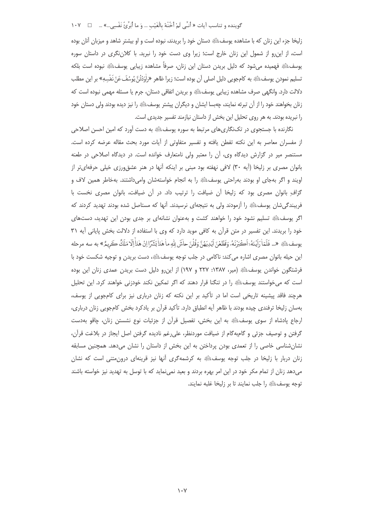# گوينده و تناسب آيات « أنِّي لَمْ أَخُنْهُ بِالْغَيْبِ ... وَ ما أُبَرِّئُ نَفْسي...» ... □ ١٠٧

زلیخا جزء این زنان که با مشاهده پوسفﷺ دستان خود را بریدند، نبوده است و او بیشتر شاهد و میزبان آنان بوده است، از این رو از شمول این زنان خارج است؛ زیرا وی دست خود را نبرید. با کلان نگری در داستان سوره يوسفﷺ فهميده مىشود كه دليل بريدن دستان اين زنان، صرفاً مشاهده زيبايي يوسفﷺ نبوده است بلكه تسليم نمودن يوسفﷺ به كامجويي دليل اصلي آن بوده است؛ زيرا ظاهر «راْوَدُتْنَّ يُوسُفَ عَنْ نَفْسِهِ» بر اين مطلب دلالت دارد. وانگهی صرف مشاهده زیبایی یوسفﷺ و بریدن اتفاقی دستان، جرم یا مسئله مهمی نبوده است که زنان بخواهند خود را از آن تبرئه نمایند، چهبسا ایشان و دیگران پیشتر یوسفﷺ را نیز دیده بودند ولی دستان خود را نبریده بودند. به هر روی تحلیل این بخش از داستان نیازمند تفسیر جدیدی است.

نگارنده با جستجوی در تکنگاریهای مرتبط به سوره یوسفﷺ به دست آورد که امین احسن اصلاحی از مفسران معاصر به این نکته تفطن یافته و تفسیر متفاوتی از آیات مورد بحث مقاله عرضه کرده است. مستنصر میر در گزارش دیدگاه وی، آن را معتبر ولی نامتعارف خوانده است. در دیدگاه اصلاحی در طعنه بانوان مصری بر زلیخا (آیه ۳۰) لافی نهفته بود مبنی بر اینکه آنها در هنر عشق,ورزی خیلی حرفهای تر از اویند و اگر بهجای او بودند بهراحتی یوسفﷺ را به انجام خواستهشان وامیداشتند. بهخاطر همین لاف و گزافِ بانوان مصری بود که زلیخا آن ضیافت را ترتیب داد. در آن ضیافت، بانوان مصری نخست با فریبندگی شان یوسفﷺ را آزمودند ولی به نتیجهای نرسیدند. آنها که مستاصل شده بودند تهدید کردند که اگر یوسف الله تسلیم نشود خود را خواهند کشت و بهعنوان نشانهای بر جدی بودن این تهدید، دستهای خود را بریدند. این تفسیر در متن قرآن به کافی موید دارد که وی با استفاده از دلالت بخش پایانی آیه ۳۱ يوسف ﷺ «... فَلَمّاْ رَايْنَهُ رَاَحُبَرْنَهُ وَقَطَّعْنَ اَيْدِيَهُنَّ وَقُلْنَ حاشَ لِلّهِ ما هٰذاْ بَشَرًا إنْ هٰذاٰإِلّا مَلَكٌ كَرِيمٌ؟ به سه مرحله اين حيله بانوان مصري اشاره مي كند: ناكامي در جلب توجه يوسفﷺ، دست بريدن و توجيه شكست خود با فرشتگون خواندن یوسف ای (میر، ۱۳۸۷: ۲۲۷ و ۱۹۷) از این رو دلیل دست بریدن عمدی زنان این بوده است که میخواستند یوسفﷺ را در تنگنا قرار دهند که اگر تمکین نکند خودزنی خواهند کرد. این تحلیل هرچند فاقد پیشینه تاریخی است اما در تأکید بر این نکته که زنان درباری نیز برای کامجویی از یوسف، بهسان زلیخا ترفندی چیده بودند با ظاهر آیه انطباق دارد. تأکید قرآن بر یادکرد بخش کامجویی زنان درباری، ارجاع پادشاه از سوی یوسف ای به این بخش، تفصیل قرآن از جزئیات نوع نشستن زنان، چاقو بهدست گرفتن و توصیف جزئی و گامبهگام از ضیافت موردنظر، علی رغم نادیده گرفتن اصل ایجاز در بلاغت قرآن، نشان شناسی خاصی را از تعمدی بودن پرداختن به این بخش از داستان را نشان میدهد. همچنین مسابقه زنان دربار با زلیخا در جلب توجه یوسف الله به کرشمهگری أنها نیز قرینهای درونمتنی است که نشان میدهد زنان از تمام مکر خود در این امر بهره بردند و بعید نمینماید که با توسل به تهدید نیز خواسته باشند توجه يوسفﷺ را جلب نمايند تا بر زليخا غلبه نمايند.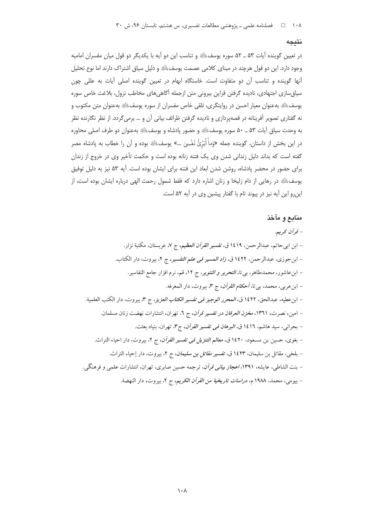### نتيجه

در تعیین گوینده آیات ۵۳ ـ ۵۲ سوره پوسفﷺ و تناسب این دو آیه با یکدیگر دو قول میان مفسران امامیه وجود دارد. این دو قول هرچند در مبنای کلامی عصمت یوسفﷺ و دلیل سیاق اشتراک دارند اما نوع تحلیل آنها گوینده و تناسب آن دو متفاوت است. خاستگاه ابهام در تعیین گوینده اصلی آیات به عللی چون سیاق سازی اجتهادی، نادیده گرفتن قراین بیرونی متن ازجمله آگاهیهای مخاطب نزول، بلاغت خاص سوره يوسفﷺ بهعنوان معيار احسن در روايتگرى، تلقى خاص مفسران از سوره يوسفﷺ بهعنوان متن مكتوب و نه گفتاری تصویر آفرینانه در قصهپردازی و نادیده گرفتن ظرائف بیانی آن و … برمیگردد. از نظر نگارنده نظر به وحدت سیاق آیات ۵۳ ـ ۵۰ سوره یوسفﷺ و حضور پادشاه و یوسفﷺ بهعنوان دو طرف اصلی محاوره در این بخش از داستان، گوینده جمله «وَماْۤ اُبَرِّئُ نَفُسٖیّ …» یوسفﷺ بوده و آن را خطاب به پادشاه مصر گفته است که بداند دلیل زندانی شدن وی یک فتنه زنانه بوده است و حکمت تأخیر وی در خروج از زندان برای حضور در محضر یادشاه، روشن شدن ابعاد این فتنه برای ایشان بوده است. آیه ۵۳ نیز به دلیل توفیق يوسفﷺ در رهايي از دام زليخا و زنان اشاره دارد كه فقط شمول رحمت الهي درباره ايشان بوده است، از این و این آیه نیز در پیوند تام با گفتار پیشین وی در آیه ۵۲ است.

### منابع و مآخذ